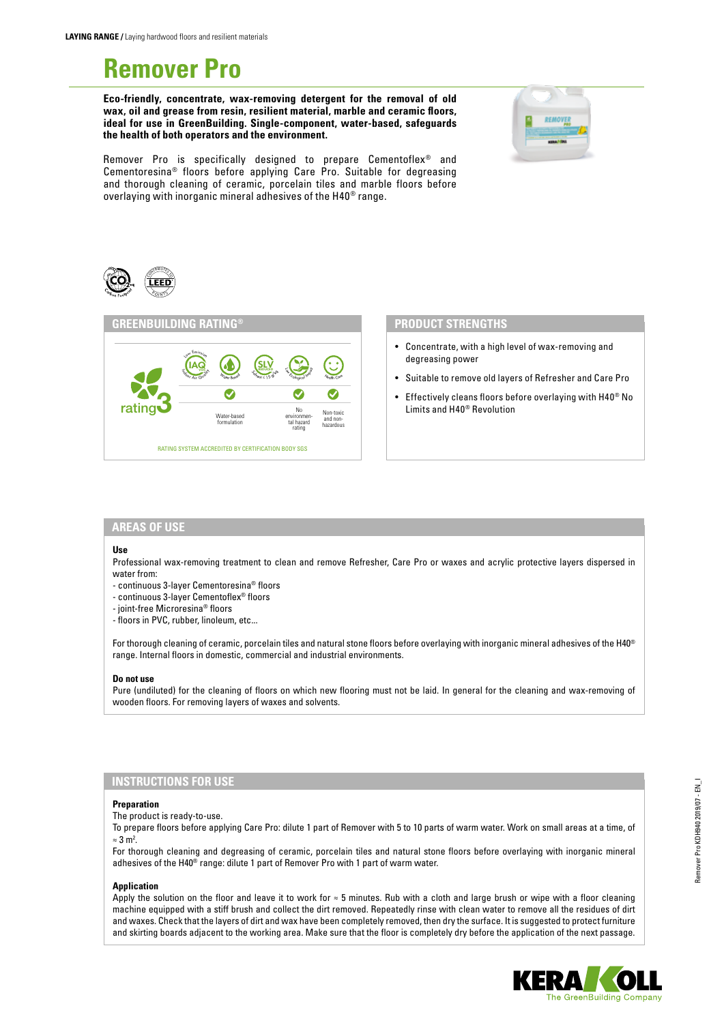# **Remover Pro**

**Eco-friendly, concentrate, wax-removing detergent for the removal of old wax, oil and grease from resin, resilient material, marble and ceramic floors, ideal for use in GreenBuilding. Single-component, water-based, safeguards the health of both operators and the environment.** 



Remover Pro is specifically designed to prepare Cementoflex® and Cementoresina® floors before applying Care Pro. Suitable for degreasing and thorough cleaning of ceramic, porcelain tiles and marble floors before overlaying with inorganic mineral adhesives of the H40® range.





#### **PRODUCT STRENGTHS**

- Concentrate, with a high level of wax-removing and degreasing power
- Suitable to remove old layers of Refresher and Care Pro
- Effectively cleans floors before overlaying with H40® No Limits and H40® Revolution

## **AREAS OF USE**

#### **Use**

Professional wax-removing treatment to clean and remove Refresher, Care Pro or waxes and acrylic protective layers dispersed in water from:

- continuous 3-layer Cementoresina® floors
- continuous 3-layer Cementoflex® floors
- joint-free Microresina® floors
- floors in PVC, rubber, linoleum, etc...

For thorough cleaning of ceramic, porcelain tiles and natural stone floors before overlaying with inorganic mineral adhesives of the H40<sup>®</sup> range. Internal floors in domestic, commercial and industrial environments.

#### **Do not use**

Pure (undiluted) for the cleaning of floors on which new flooring must not be laid. In general for the cleaning and wax-removing of wooden floors. For removing layers of waxes and solvents.

### **INSTRUCTIONS FOR USE**

#### **Preparation**

The product is ready-to-use.

To prepare floors before applying Care Pro: dilute 1 part of Remover with 5 to 10 parts of warm water. Work on small areas at a time, of  $≈ 3 m<sup>2</sup>.$ 

For thorough cleaning and degreasing of ceramic, porcelain tiles and natural stone floors before overlaying with inorganic mineral adhesives of the H40® range: dilute 1 part of Remover Pro with 1 part of warm water.

#### **Application**

Apply the solution on the floor and leave it to work for ≈ 5 minutes. Rub with a cloth and large brush or wipe with a floor cleaning machine equipped with a stiff brush and collect the dirt removed. Repeatedly rinse with clean water to remove all the residues of dirt and waxes. Check that the layers of dirt and wax have been completely removed, then dry the surface. It is suggested to protect furniture and skirting boards adjacent to the working area. Make sure that the floor is completely dry before the application of the next passage.